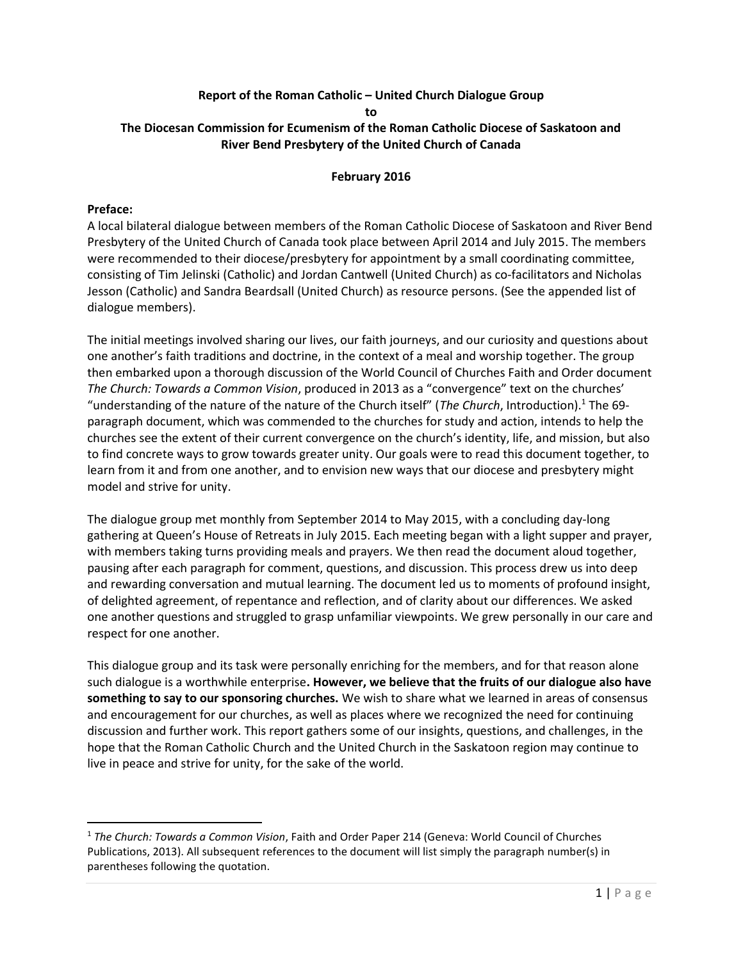### Report of the Roman Catholic – United Church Dialogue Group to The Diocesan Commission for Ecumenism of the Roman Catholic Diocese of Saskatoon and River Bend Presbytery of the United Church of Canada

### February 2016

### Preface:

A local bilateral dialogue between members of the Roman Catholic Diocese of Saskatoon and River Bend Presbytery of the United Church of Canada took place between April 2014 and July 2015. The members were recommended to their diocese/presbytery for appointment by a small coordinating committee, consisting of Tim Jelinski (Catholic) and Jordan Cantwell (United Church) as co-facilitators and Nicholas Jesson (Catholic) and Sandra Beardsall (United Church) as resource persons. (See the appended list of dialogue members).

The initial meetings involved sharing our lives, our faith journeys, and our curiosity and questions about one another's faith traditions and doctrine, in the context of a meal and worship together. The group then embarked upon a thorough discussion of the World Council of Churches Faith and Order document The Church: Towards a Common Vision, produced in 2013 as a "convergence" text on the churches' "understanding of the nature of the nature of the Church itself" (The Church, Introduction).<sup>1</sup> The 69paragraph document, which was commended to the churches for study and action, intends to help the churches see the extent of their current convergence on the church's identity, life, and mission, but also to find concrete ways to grow towards greater unity. Our goals were to read this document together, to learn from it and from one another, and to envision new ways that our diocese and presbytery might model and strive for unity.

The dialogue group met monthly from September 2014 to May 2015, with a concluding day-long gathering at Queen's House of Retreats in July 2015. Each meeting began with a light supper and prayer, with members taking turns providing meals and prayers. We then read the document aloud together, pausing after each paragraph for comment, questions, and discussion. This process drew us into deep and rewarding conversation and mutual learning. The document led us to moments of profound insight, of delighted agreement, of repentance and reflection, and of clarity about our differences. We asked one another questions and struggled to grasp unfamiliar viewpoints. We grew personally in our care and respect for one another.

This dialogue group and its task were personally enriching for the members, and for that reason alone such dialogue is a worthwhile enterprise. However, we believe that the fruits of our dialogue also have something to say to our sponsoring churches. We wish to share what we learned in areas of consensus and encouragement for our churches, as well as places where we recognized the need for continuing discussion and further work. This report gathers some of our insights, questions, and challenges, in the hope that the Roman Catholic Church and the United Church in the Saskatoon region may continue to live in peace and strive for unity, for the sake of the world.

<sup>&</sup>lt;sup>1</sup> The Church: Towards a Common Vision, Faith and Order Paper 214 (Geneva: World Council of Churches Publications, 2013). All subsequent references to the document will list simply the paragraph number(s) in parentheses following the quotation.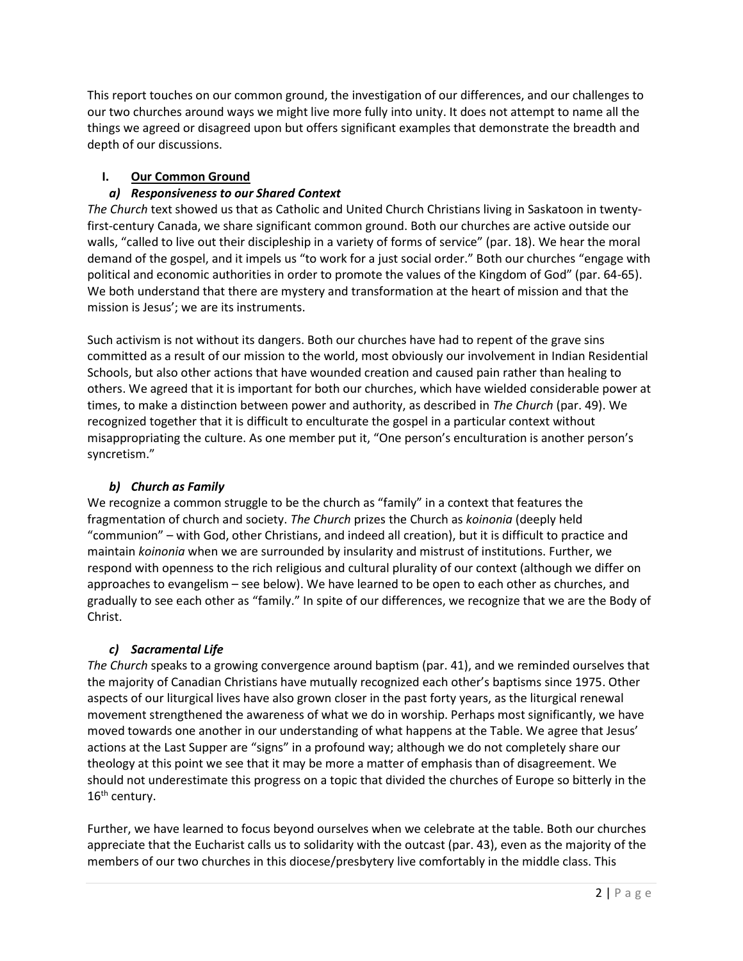This report touches on our common ground, the investigation of our differences, and our challenges to our two churches around ways we might live more fully into unity. It does not attempt to name all the things we agreed or disagreed upon but offers significant examples that demonstrate the breadth and depth of our discussions.

# I. Our Common Ground

# a) Responsiveness to our Shared Context

The Church text showed us that as Catholic and United Church Christians living in Saskatoon in twentyfirst-century Canada, we share significant common ground. Both our churches are active outside our walls, "called to live out their discipleship in a variety of forms of service" (par. 18). We hear the moral demand of the gospel, and it impels us "to work for a just social order." Both our churches "engage with political and economic authorities in order to promote the values of the Kingdom of God" (par. 64-65). We both understand that there are mystery and transformation at the heart of mission and that the mission is Jesus'; we are its instruments.

Such activism is not without its dangers. Both our churches have had to repent of the grave sins committed as a result of our mission to the world, most obviously our involvement in Indian Residential Schools, but also other actions that have wounded creation and caused pain rather than healing to others. We agreed that it is important for both our churches, which have wielded considerable power at times, to make a distinction between power and authority, as described in The Church (par. 49). We recognized together that it is difficult to enculturate the gospel in a particular context without misappropriating the culture. As one member put it, "One person's enculturation is another person's syncretism."

# b) Church as Family

We recognize a common struggle to be the church as "family" in a context that features the fragmentation of church and society. The Church prizes the Church as koinonia (deeply held "communion" – with God, other Christians, and indeed all creation), but it is difficult to practice and maintain koinonia when we are surrounded by insularity and mistrust of institutions. Further, we respond with openness to the rich religious and cultural plurality of our context (although we differ on approaches to evangelism – see below). We have learned to be open to each other as churches, and gradually to see each other as "family." In spite of our differences, we recognize that we are the Body of Christ.

# c) Sacramental Life

The Church speaks to a growing convergence around baptism (par. 41), and we reminded ourselves that the majority of Canadian Christians have mutually recognized each other's baptisms since 1975. Other aspects of our liturgical lives have also grown closer in the past forty years, as the liturgical renewal movement strengthened the awareness of what we do in worship. Perhaps most significantly, we have moved towards one another in our understanding of what happens at the Table. We agree that Jesus' actions at the Last Supper are "signs" in a profound way; although we do not completely share our theology at this point we see that it may be more a matter of emphasis than of disagreement. We should not underestimate this progress on a topic that divided the churches of Europe so bitterly in the 16<sup>th</sup> century.

Further, we have learned to focus beyond ourselves when we celebrate at the table. Both our churches appreciate that the Eucharist calls us to solidarity with the outcast (par. 43), even as the majority of the members of our two churches in this diocese/presbytery live comfortably in the middle class. This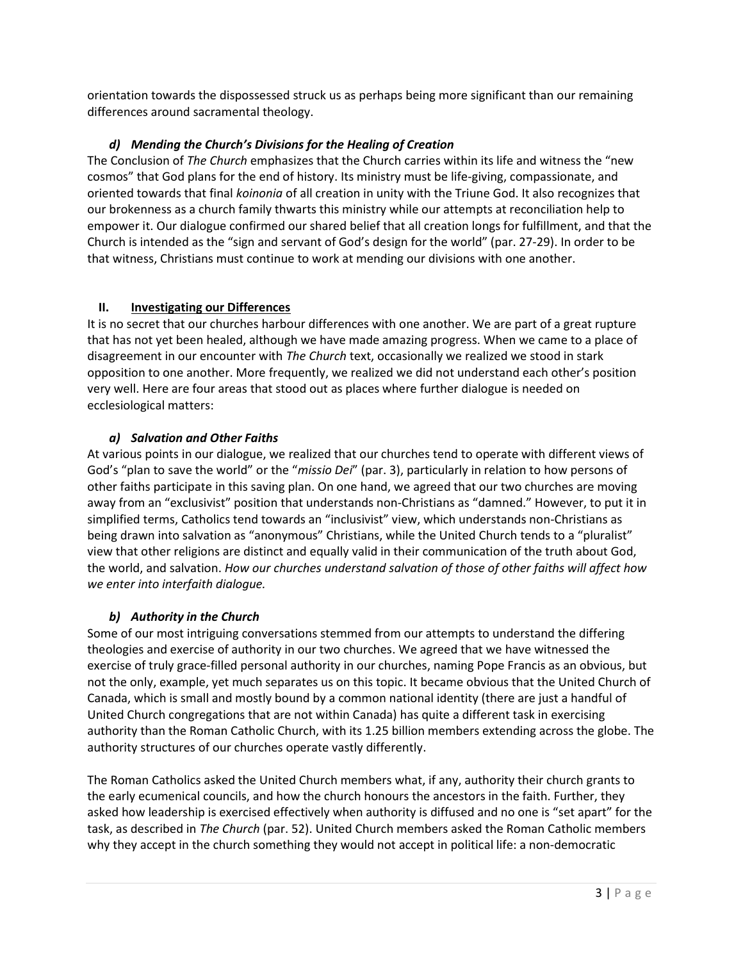orientation towards the dispossessed struck us as perhaps being more significant than our remaining differences around sacramental theology.

# d) Mending the Church's Divisions for the Healing of Creation

The Conclusion of The Church emphasizes that the Church carries within its life and witness the "new cosmos" that God plans for the end of history. Its ministry must be life-giving, compassionate, and oriented towards that final koinonia of all creation in unity with the Triune God. It also recognizes that our brokenness as a church family thwarts this ministry while our attempts at reconciliation help to empower it. Our dialogue confirmed our shared belief that all creation longs for fulfillment, and that the Church is intended as the "sign and servant of God's design for the world" (par. 27-29). In order to be that witness, Christians must continue to work at mending our divisions with one another.

### II. Investigating our Differences

It is no secret that our churches harbour differences with one another. We are part of a great rupture that has not yet been healed, although we have made amazing progress. When we came to a place of disagreement in our encounter with The Church text, occasionally we realized we stood in stark opposition to one another. More frequently, we realized we did not understand each other's position very well. Here are four areas that stood out as places where further dialogue is needed on ecclesiological matters:

# a) Salvation and Other Faiths

At various points in our dialogue, we realized that our churches tend to operate with different views of God's "plan to save the world" or the "missio Dei" (par. 3), particularly in relation to how persons of other faiths participate in this saving plan. On one hand, we agreed that our two churches are moving away from an "exclusivist" position that understands non-Christians as "damned." However, to put it in simplified terms, Catholics tend towards an "inclusivist" view, which understands non-Christians as being drawn into salvation as "anonymous" Christians, while the United Church tends to a "pluralist" view that other religions are distinct and equally valid in their communication of the truth about God, the world, and salvation. How our churches understand salvation of those of other faiths will affect how we enter into interfaith dialogue.

# b) Authority in the Church

Some of our most intriguing conversations stemmed from our attempts to understand the differing theologies and exercise of authority in our two churches. We agreed that we have witnessed the exercise of truly grace-filled personal authority in our churches, naming Pope Francis as an obvious, but not the only, example, yet much separates us on this topic. It became obvious that the United Church of Canada, which is small and mostly bound by a common national identity (there are just a handful of United Church congregations that are not within Canada) has quite a different task in exercising authority than the Roman Catholic Church, with its 1.25 billion members extending across the globe. The authority structures of our churches operate vastly differently.

The Roman Catholics asked the United Church members what, if any, authority their church grants to the early ecumenical councils, and how the church honours the ancestors in the faith. Further, they asked how leadership is exercised effectively when authority is diffused and no one is "set apart" for the task, as described in The Church (par. 52). United Church members asked the Roman Catholic members why they accept in the church something they would not accept in political life: a non-democratic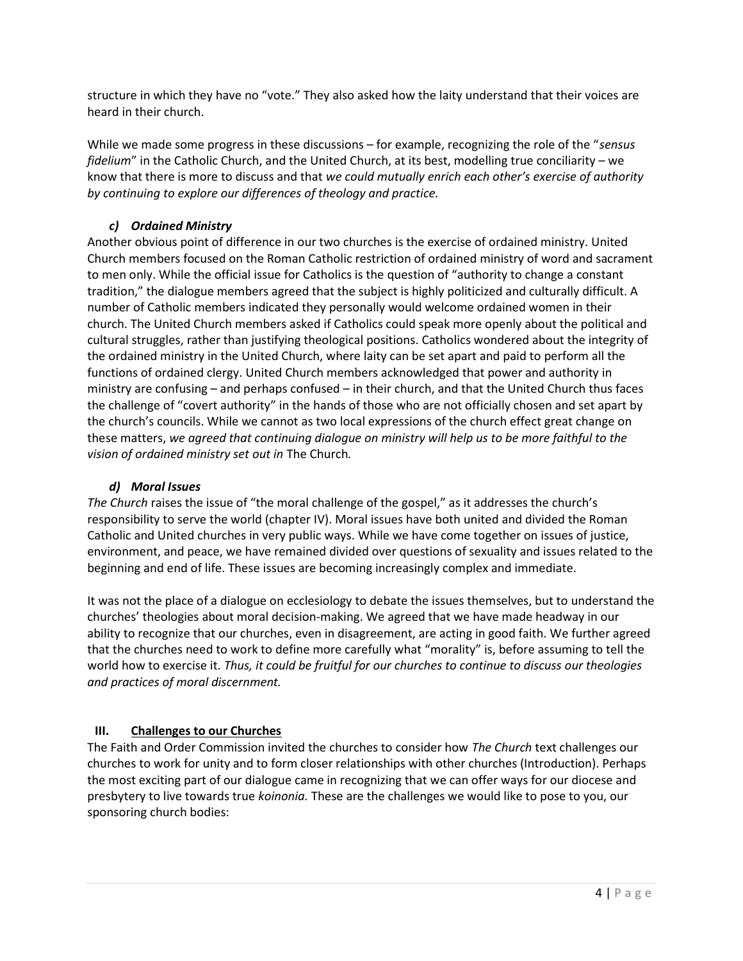structure in which they have no "vote." They also asked how the laity understand that their voices are heard in their church.

While we made some progress in these discussions – for example, recognizing the role of the "sensus" fidelium" in the Catholic Church, and the United Church, at its best, modelling true conciliarity – we know that there is more to discuss and that we could mutually enrich each other's exercise of authority by continuing to explore our differences of theology and practice.

# c) Ordained Ministry

Another obvious point of difference in our two churches is the exercise of ordained ministry. United Church members focused on the Roman Catholic restriction of ordained ministry of word and sacrament to men only. While the official issue for Catholics is the question of "authority to change a constant tradition," the dialogue members agreed that the subject is highly politicized and culturally difficult. A number of Catholic members indicated they personally would welcome ordained women in their church. The United Church members asked if Catholics could speak more openly about the political and cultural struggles, rather than justifying theological positions. Catholics wondered about the integrity of the ordained ministry in the United Church, where laity can be set apart and paid to perform all the functions of ordained clergy. United Church members acknowledged that power and authority in ministry are confusing – and perhaps confused – in their church, and that the United Church thus faces the challenge of "covert authority" in the hands of those who are not officially chosen and set apart by the church's councils. While we cannot as two local expressions of the church effect great change on these matters, we agreed that continuing dialogue on ministry will help us to be more faithful to the vision of ordained ministry set out in The Church.

# d) Moral Issues

The Church raises the issue of "the moral challenge of the gospel," as it addresses the church's responsibility to serve the world (chapter IV). Moral issues have both united and divided the Roman Catholic and United churches in very public ways. While we have come together on issues of justice, environment, and peace, we have remained divided over questions of sexuality and issues related to the beginning and end of life. These issues are becoming increasingly complex and immediate.

It was not the place of a dialogue on ecclesiology to debate the issues themselves, but to understand the churches' theologies about moral decision-making. We agreed that we have made headway in our ability to recognize that our churches, even in disagreement, are acting in good faith. We further agreed that the churches need to work to define more carefully what "morality" is, before assuming to tell the world how to exercise it. Thus, it could be fruitful for our churches to continue to discuss our theologies and practices of moral discernment.

# III. Challenges to our Churches

The Faith and Order Commission invited the churches to consider how The Church text challenges our churches to work for unity and to form closer relationships with other churches (Introduction). Perhaps the most exciting part of our dialogue came in recognizing that we can offer ways for our diocese and presbytery to live towards true *koinonia*. These are the challenges we would like to pose to you, our sponsoring church bodies: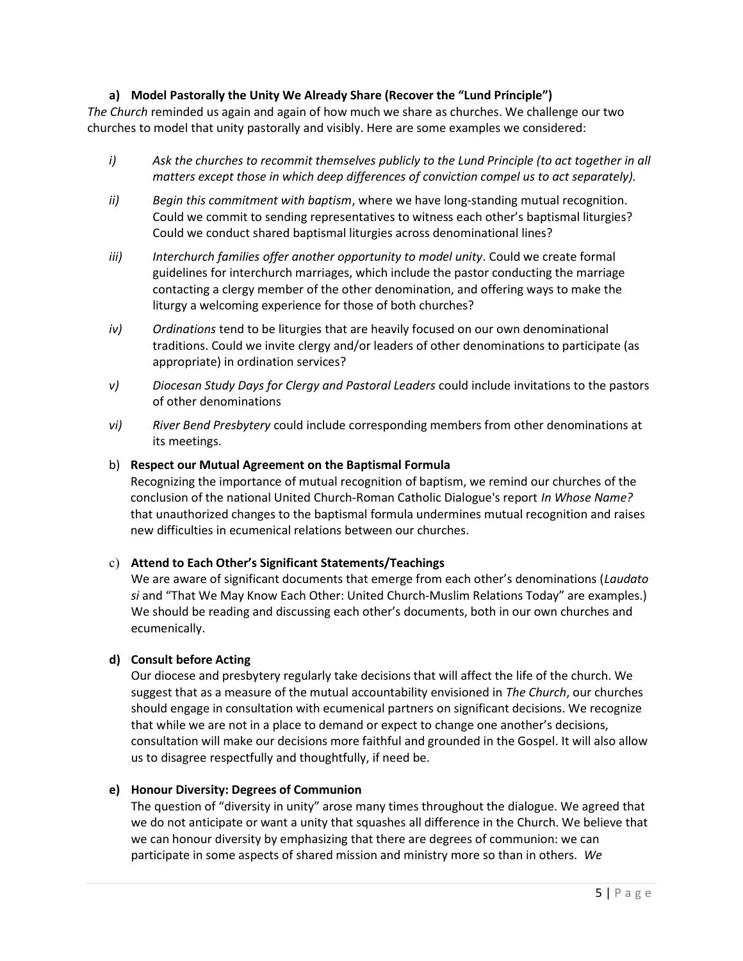# a) Model Pastorally the Unity We Already Share (Recover the "Lund Principle")

The Church reminded us again and again of how much we share as churches. We challenge our two churches to model that unity pastorally and visibly. Here are some examples we considered:

- i) Ask the churches to recommit themselves publicly to the Lund Principle (to act together in all matters except those in which deep differences of conviction compel us to act separately).
- ii) Begin this commitment with baptism, where we have long-standing mutual recognition. Could we commit to sending representatives to witness each other's baptismal liturgies? Could we conduct shared baptismal liturgies across denominational lines?
- iii) Interchurch families offer another opportunity to model unity. Could we create formal guidelines for interchurch marriages, which include the pastor conducting the marriage contacting a clergy member of the other denomination, and offering ways to make the liturgy a welcoming experience for those of both churches?
- iv) Ordinations tend to be liturgies that are heavily focused on our own denominational traditions. Could we invite clergy and/or leaders of other denominations to participate (as appropriate) in ordination services?
- v) Diocesan Study Days for Clergy and Pastoral Leaders could include invitations to the pastors of other denominations
- vi) River Bend Presbytery could include corresponding members from other denominations at its meetings.

#### b) Respect our Mutual Agreement on the Baptismal Formula

Recognizing the importance of mutual recognition of baptism, we remind our churches of the conclusion of the national United Church-Roman Catholic Dialogue's report In Whose Name? that unauthorized changes to the baptismal formula undermines mutual recognition and raises new difficulties in ecumenical relations between our churches.

#### c) Attend to Each Other's Significant Statements/Teachings

We are aware of significant documents that emerge from each other's denominations (Laudato si and "That We May Know Each Other: United Church-Muslim Relations Today" are examples.) We should be reading and discussing each other's documents, both in our own churches and ecumenically.

#### d) Consult before Acting

Our diocese and presbytery regularly take decisions that will affect the life of the church. We suggest that as a measure of the mutual accountability envisioned in The Church, our churches should engage in consultation with ecumenical partners on significant decisions. We recognize that while we are not in a place to demand or expect to change one another's decisions, consultation will make our decisions more faithful and grounded in the Gospel. It will also allow us to disagree respectfully and thoughtfully, if need be.

#### e) Honour Diversity: Degrees of Communion

The question of "diversity in unity" arose many times throughout the dialogue. We agreed that we do not anticipate or want a unity that squashes all difference in the Church. We believe that we can honour diversity by emphasizing that there are degrees of communion: we can participate in some aspects of shared mission and ministry more so than in others. We